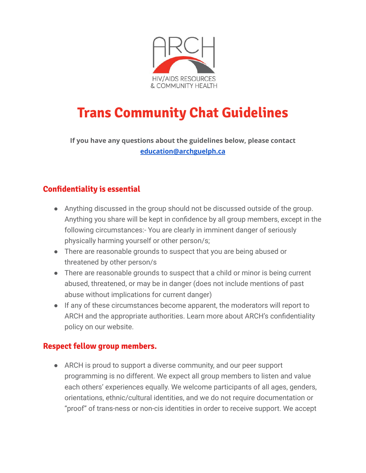

# **Trans Community Chat Guidelines**

**If you have any questions about the guidelines below, please contact [education@archguelph.ca](mailto:education@archguelph.ca)**

# **Confidentiality is essential**

- Anything discussed in the group should not be discussed outside of the group. Anything you share will be kept in confidence by all group members, except in the following circumstances:- You are clearly in imminent danger of seriously physically harming yourself or other person/s;
- There are reasonable grounds to suspect that you are being abused or threatened by other person/s
- There are reasonable grounds to suspect that a child or minor is being current abused, threatened, or may be in danger (does not include mentions of past abuse without implications for current danger)
- If any of these circumstances become apparent, the moderators will report to ARCH and the appropriate authorities. Learn more about ARCH's confidentiality policy on our website.

### **Respect fellow group members.**

● ARCH is proud to support a diverse community, and our peer support programming is no different. We expect all group members to listen and value each others' experiences equally. We welcome participants of all ages, genders, orientations, ethnic/cultural identities, and we do not require documentation or "proof" of trans-ness or non-cis identities in order to receive support. We accept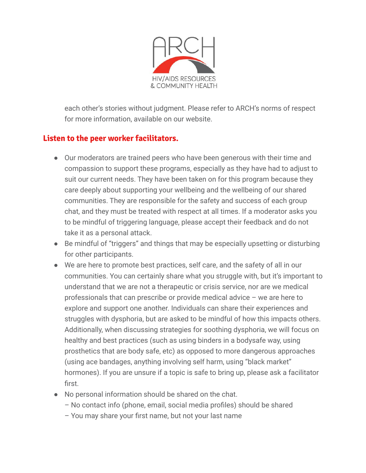

each other's stories without judgment. Please refer to ARCH's norms of respect for more information, available on our website.

## **Listen to the peer worker facilitators.**

- Our moderators are trained peers who have been generous with their time and compassion to support these programs, especially as they have had to adjust to suit our current needs. They have been taken on for this program because they care deeply about supporting your wellbeing and the wellbeing of our shared communities. They are responsible for the safety and success of each group chat, and they must be treated with respect at all times. If a moderator asks you to be mindful of triggering language, please accept their feedback and do not take it as a personal attack.
- Be mindful of "triggers" and things that may be especially upsetting or disturbing for other participants.
- We are here to promote best practices, self care, and the safety of all in our communities. You can certainly share what you struggle with, but it's important to understand that we are not a therapeutic or crisis service, nor are we medical professionals that can prescribe or provide medical advice – we are here to explore and support one another. Individuals can share their experiences and struggles with dysphoria, but are asked to be mindful of how this impacts others. Additionally, when discussing strategies for soothing dysphoria, we will focus on healthy and best practices (such as using binders in a bodysafe way, using prosthetics that are body safe, etc) as opposed to more dangerous approaches (using ace bandages, anything involving self harm, using "black market" hormones). If you are unsure if a topic is safe to bring up, please ask a facilitator first.
- No personal information should be shared on the chat.
	- No contact info (phone, email, social media profiles) should be shared
	- You may share your first name, but not your last name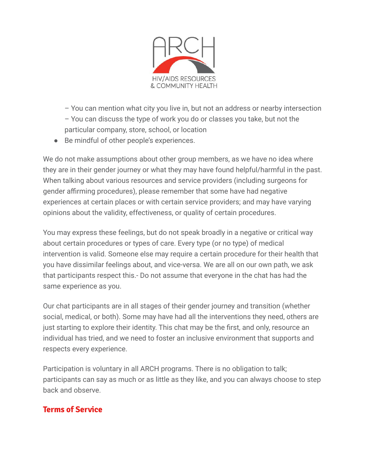

- You can mention what city you live in, but not an address or nearby intersection – You can discuss the type of work you do or classes you take, but not the particular company, store, school, or location
- Be mindful of other people's experiences.

We do not make assumptions about other group members, as we have no idea where they are in their gender journey or what they may have found helpful/harmful in the past. When talking about various resources and service providers (including surgeons for gender affirming procedures), please remember that some have had negative experiences at certain places or with certain service providers; and may have varying opinions about the validity, effectiveness, or quality of certain procedures.

You may express these feelings, but do not speak broadly in a negative or critical way about certain procedures or types of care. Every type (or no type) of medical intervention is valid. Someone else may require a certain procedure for their health that you have dissimilar feelings about, and vice-versa. We are all on our own path, we ask that participants respect this.- Do not assume that everyone in the chat has had the same experience as you.

Our chat participants are in all stages of their gender journey and transition (whether social, medical, or both). Some may have had all the interventions they need, others are just starting to explore their identity. This chat may be the first, and only, resource an individual has tried, and we need to foster an inclusive environment that supports and respects every experience.

Participation is voluntary in all ARCH programs. There is no obligation to talk; participants can say as much or as little as they like, and you can always choose to step back and observe.

### **Terms of Service**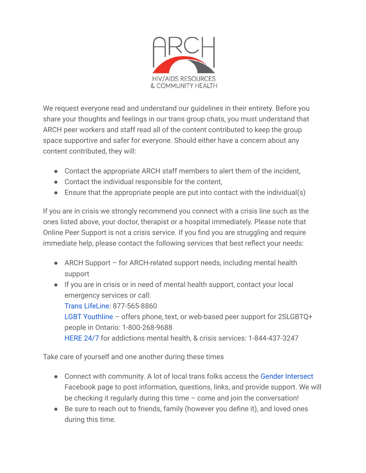

We request everyone read and understand our guidelines in their entirety. Before you share your thoughts and feelings in our trans group chats, you must understand that ARCH peer workers and staff read all of the content contributed to keep the group space supportive and safer for everyone. Should either have a concern about any content contributed, they will:

- Contact the appropriate ARCH staff members to alert them of the incident,
- Contact the individual responsible for the content,
- **•** Ensure that the appropriate people are put into contact with the individual(s)

If you are in crisis we strongly recommend you connect with a crisis line such as the ones listed above, your doctor, therapist or a hospital immediately. Please note that Online Peer Support is not a crisis service. If you find you are struggling and require immediate help, please contact the following services that best reflect your needs:

- ARCH Support for ARCH-related support needs, including mental health support
- If you are in crisis or in need of mental health support, contact your local emergency services or call: [Trans LifeLine:](https://www.translifeline.org/) 877-565-8860 [LGBT Youthline](https://www.youthline.ca/) – offers phone, text, or web-based peer support for 2SLGBTQ+ people in Ontario: 1-800-268-9688 [HERE 24/7](http://here247.ca/) for addictions mental health, & crisis services: 1-844-437-3247

Take care of yourself and one another during these times

- Connect with community. A lot of local trans folks access the [Gender Intersect](https://www.facebook.com/groups/genderintersect/) Facebook page to post information, questions, links, and provide support. We will be checking it regularly during this time – come and join the conversation!
- Be sure to reach out to friends, family (however you define it), and loved ones during this time.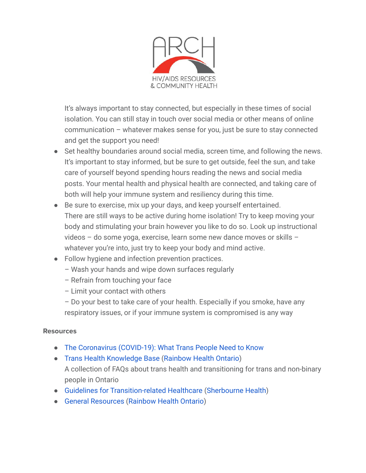

It's always important to stay connected, but especially in these times of social isolation. You can still stay in touch over social media or other means of online communication – whatever makes sense for you, just be sure to stay connected and get the support you need!

- Set healthy boundaries around social media, screen time, and following the news. It's important to stay informed, but be sure to get outside, feel the sun, and take care of yourself beyond spending hours reading the news and social media posts. Your mental health and physical health are connected, and taking care of both will help your immune system and resiliency during this time.
- Be sure to exercise, mix up your days, and keep yourself entertained. There are still ways to be active during home isolation! Try to keep moving your body and stimulating your brain however you like to do so. Look up instructional videos – do some yoga, exercise, learn some new dance moves or skills – whatever you're into, just try to keep your body and mind active.
- Follow hygiene and infection prevention practices.
	- Wash your hands and wipe down surfaces regularly
	- Refrain from touching your face
	- Limit your contact with others
	- Do your best to take care of your health. Especially if you smoke, have any respiratory issues, or if your immune system is compromised is any way

#### **Resources**

- [The Coronavirus \(COVID-19\): What Trans People Need to Know](https://transequality.org/covid19)
- [Trans Health Knowledge Base](https://transfaqs.rainbowhealthontario.ca/) [\(Rainbow Health Ontario](https://www.rainbowhealthontario.ca/)) A collection of FAQs about trans health and transitioning for trans and non-binary people in Ontario
- [Guidelines for Transition-related Healthcare](http://sherbourne.on.ca/wp-content/uploads/2014/02/Guidelines-and-Protocols-for-Comprehensive-Primary-Care-for-Trans-Clients-2015.pdf) [\(Sherbourne](https://sherbourne.on.ca/) Health)
- [General Resources](https://www.rainbowhealthontario.ca/resources/?orderby=date) ([Rainbow Health Ontario\)](https://www.rainbowhealthontario.ca/)